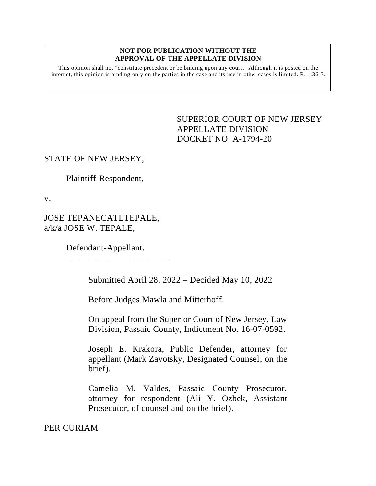## **NOT FOR PUBLICATION WITHOUT THE APPROVAL OF THE APPELLATE DIVISION**

This opinion shall not "constitute precedent or be binding upon any court." Although it is posted on the internet, this opinion is binding only on the parties in the case and its use in other cases is limited. R. 1:36-3.

## <span id="page-0-0"></span>SUPERIOR COURT OF NEW JERSEY APPELLATE DIVISION DOCKET NO. A-1794-20

## STATE OF NEW JERSEY,

Plaintiff-Respondent,

v.

JOSE TEPANECATLTEPALE, a/k/a JOSE W. TEPALE,

Defendant-Appellant. \_\_\_\_\_\_\_\_\_\_\_\_\_\_\_\_\_\_\_\_\_\_\_\_\_\_\_\_

Submitted April 28, 2022 – Decided May 10, 2022

Before Judges Mawla and Mitterhoff.

On appeal from the Superior Court of New Jersey, Law Division, Passaic County, Indictment No. 16-07-0592.

Joseph E. Krakora, Public Defender, attorney for appellant (Mark Zavotsky, Designated Counsel, on the brief).

Camelia M. Valdes, Passaic County Prosecutor, attorney for respondent (Ali Y. Ozbek, Assistant Prosecutor, of counsel and on the brief).

PER CURIAM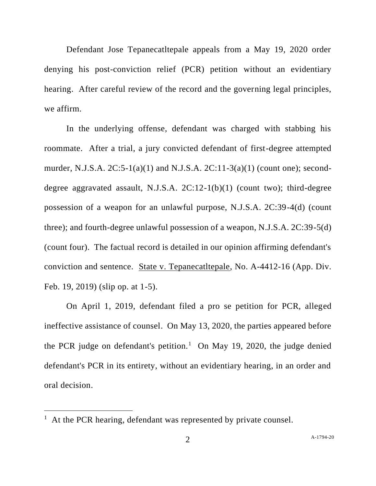Defendant Jose Tepanecatltepale appeals from a May 19, 2020 order denying his post-conviction relief (PCR) petition without an evidentiary hearing. After careful review of the record and the governing legal principles, we affirm.

In the underlying offense, defendant was charged with stabbing his roommate. After a trial, a jury convicted defendant of first-degree attempted murder, N.J.S.A. 2C:5-1(a)(1) and N.J.S.A. 2C:11-3(a)(1) (count one); seconddegree aggravated assault, N.J.S.A. 2C:12-1(b)(1) (count two); third-degree possession of a weapon for an unlawful purpose, N.J.S.A. 2C:39-4(d) (count three); and fourth-degree unlawful possession of a weapon, N.J.S.A. 2C:39-5(d) (count four). The factual record is detailed in our opinion affirming defendant's conviction and sentence. State v. Tepanecatltepale, No. A-4412-16 (App. Div. Feb. 19, 2019) (slip op. at 1-5).

On April 1, 2019, defendant filed a pro se petition for PCR, alleged ineffective assistance of counsel. On May 13, 2020, the parties appeared before the PCR judge on defendant's petition.<sup>1</sup> On May 19, 2020, the judge denied defendant's PCR in its entirety, without an evidentiary hearing, in an order and oral decision.

<sup>&</sup>lt;sup>1</sup> At the PCR hearing, defendant was represented by private counsel.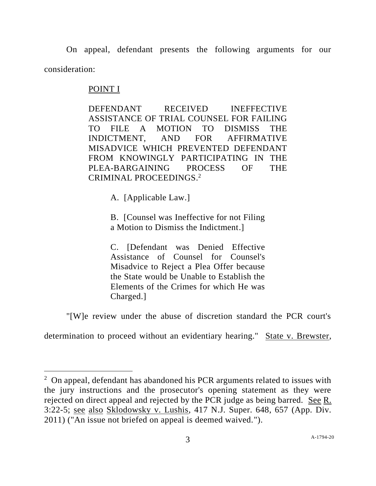On appeal, defendant presents the following arguments for our consideration:

## POINT I

DEFENDANT RECEIVED INEFFECTIVE ASSISTANCE OF TRIAL COUNSEL FOR FAILING TO FILE A MOTION TO DISMISS THE INDICTMENT, AND FOR AFFIRMATIVE MISADVICE WHICH PREVENTED DEFENDANT FROM KNOWINGLY PARTICIPATING IN THE PLEA-BARGAINING PROCESS OF THE CRIMINAL PROCEEDINGS. 2

A. [Applicable Law.]

B. [Counsel was Ineffective for not Filing a Motion to Dismiss the Indictment.]

C. [Defendant was Denied Effective Assistance of Counsel for Counsel's Misadvice to Reject a Plea Offer because the State would be Unable to Establish the Elements of the Crimes for which He was Charged.]

"[W]e review under the abuse of discretion standard the PCR court's

determination to proceed without an evidentiary hearing." State v. Brewster,

 $2$  On appeal, defendant has abandoned his PCR arguments related to issues with the jury instructions and the prosecutor's opening statement as they were rejected on direct appeal and rejected by the PCR judge as being barred. See R. 3:22-5; see also Sklodowsky v. Lushis, 417 N.J. Super. 648, 657 (App. Div. 2011) ("An issue not briefed on appeal is deemed waived.").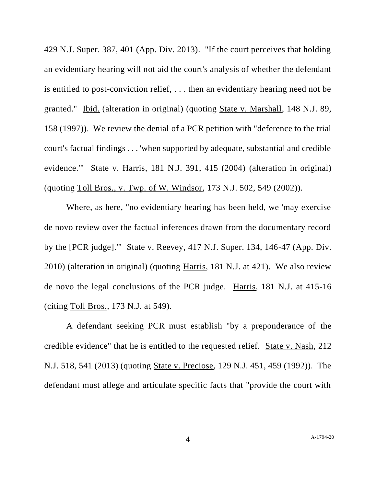429 N.J. Super. 387, 401 (App. Div. 2013). "If the court perceives that holding an evidentiary hearing will not aid the court's analysis of whether the defendant is entitled to post-conviction relief, . . . then an evidentiary hearing need not be granted." Ibid. (alteration in original) (quoting State v. Marshall, 148 N.J. 89, 158 (1997)). We review the denial of a PCR petition with "deference to the trial court's factual findings . . . 'when supported by adequate, substantial and credible evidence.'" State v. Harris, 181 N.J. 391, 415 (2004) (alteration in original) (quoting Toll Bros., v. Twp. of W. Windsor, 173 N.J. 502, 549 (2002)).

Where, as here, "no evidentiary hearing has been held, we 'may exercise de novo review over the factual inferences drawn from the documentary record by the [PCR judge].'" State v. Reevey, 417 N.J. Super. 134, 146-47 (App. Div. 2010) (alteration in original) (quoting Harris, 181 N.J. at 421). We also review de novo the legal conclusions of the PCR judge. Harris, 181 N.J. at 415-16 (citing Toll Bros., 173 N.J. at 549).

A defendant seeking PCR must establish "by a preponderance of the credible evidence" that he is entitled to the requested relief. State v. Nash, 212 N.J. 518, 541 (2013) (quoting State v. Preciose, 129 N.J. 451, 459 (1992)). The defendant must allege and articulate specific facts that "provide the court with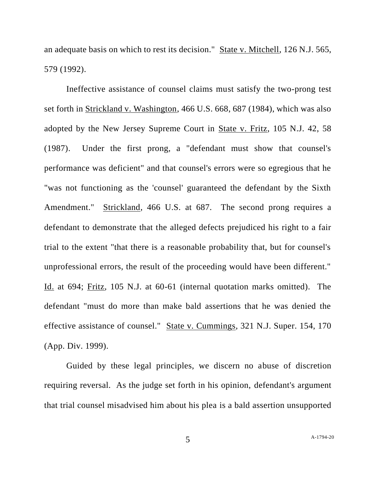an adequate basis on which to rest its decision." State v. Mitchell, 126 N.J. 565, 579 (1992).

Ineffective assistance of counsel claims must satisfy the two-prong test set forth in Strickland v. Washington, 466 U.S. 668, 687 (1984), which was also adopted by the New Jersey Supreme Court in State v. Fritz, 105 N.J. 42, 58 (1987). Under the first prong, a "defendant must show that counsel's performance was deficient" and that counsel's errors were so egregious that he "was not functioning as the 'counsel' guaranteed the defendant by the Sixth Amendment." Strickland, 466 U.S. at 687. The second prong requires a defendant to demonstrate that the alleged defects prejudiced his right to a fair trial to the extent "that there is a reasonable probability that, but for counsel's unprofessional errors, the result of the proceeding would have been different." Id. at 694; Fritz, 105 N.J. at 60-61 (internal quotation marks omitted). The defendant "must do more than make bald assertions that he was denied the effective assistance of counsel." State v. Cummings, 321 N.J. Super. 154, 170 (App. Div. 1999).

Guided by these legal principles, we discern no abuse of discretion requiring reversal. As the judge set forth in his opinion, defendant's argument that trial counsel misadvised him about his plea is a bald assertion unsupported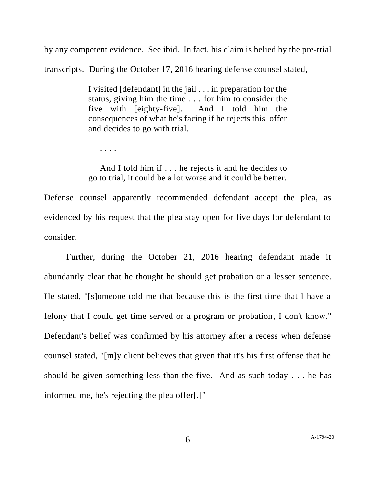by any competent evidence. See ibid. In fact, his claim is belied by the pre-trial transcripts. During the October 17, 2016 hearing defense counsel stated,

> I visited [defendant] in the jail . . . in preparation for the status, giving him the time . . . for him to consider the five with [eighty-five]. And I told him the consequences of what he's facing if he rejects this offer and decides to go with trial.

. . . .

 And I told him if . . . he rejects it and he decides to go to trial, it could be a lot worse and it could be better.

Defense counsel apparently recommended defendant accept the plea, as evidenced by his request that the plea stay open for five days for defendant to consider.

Further, during the October 21, 2016 hearing defendant made it abundantly clear that he thought he should get probation or a lesser sentence. He stated, "[s]omeone told me that because this is the first time that I have a felony that I could get time served or a program or probation, I don't know." Defendant's belief was confirmed by his attorney after a recess when defense counsel stated, "[m]y client believes that given that it's his first offense that he should be given something less than the five. And as such today . . . he has informed me, he's rejecting the plea offer[.]"